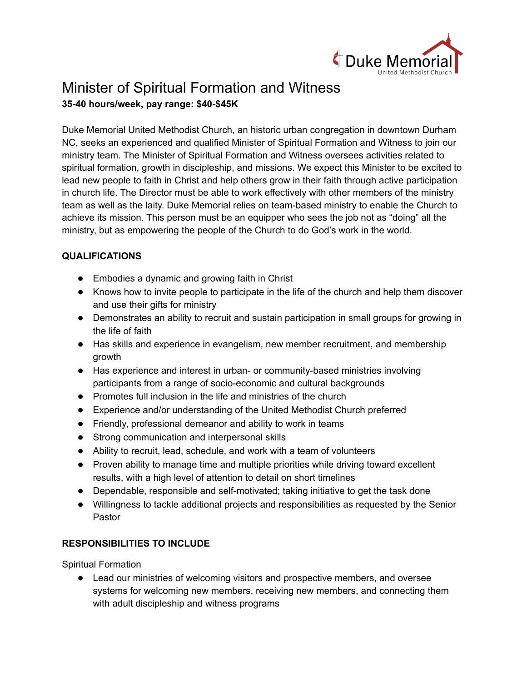

# Minister of Spiritual Formation and Witness **35-40 hours/week, pay range: \$40-\$45K**

Duke Memorial United Methodist Church, an historic urban congregation in downtown Durham NC, seeks an experienced and qualified Minister of Spiritual Formation and Witness to join our ministry team. The Minister of Spiritual Formation and Witness oversees activities related to spiritual formation, growth in discipleship, and missions. We expect this Minister to be excited to lead new people to faith in Christ and help others grow in their faith through active participation in church life. The Director must be able to work effectively with other members of the ministry team as well as the laity. Duke Memorial relies on team-based ministry to enable the Church to achieve its mission. This person must be an equipper who sees the job not as "doing" all the ministry, but as empowering the people of the Church to do God's work in the world.

# **QUALIFICATIONS**

- Embodies a dynamic and growing faith in Christ
- Knows how to invite people to participate in the life of the church and help them discover and use their gifts for ministry
- Demonstrates an ability to recruit and sustain participation in small groups for growing in the life of faith
- Has skills and experience in evangelism, new member recruitment, and membership growth
- Has experience and interest in urban- or community-based ministries involving participants from a range of socio-economic and cultural backgrounds
- Promotes full inclusion in the life and ministries of the church
- Experience and/or understanding of the United Methodist Church preferred
- Friendly, professional demeanor and ability to work in teams
- Strong communication and interpersonal skills
- Ability to recruit, lead, schedule, and work with a team of volunteers
- Proven ability to manage time and multiple priorities while driving toward excellent results, with a high level of attention to detail on short timelines
- Dependable, responsible and self-motivated; taking initiative to get the task done
- Willingness to tackle additional projects and responsibilities as requested by the Senior Pastor

# **RESPONSIBILITIES TO INCLUDE**

Spiritual Formation

● Lead our ministries of welcoming visitors and prospective members, and oversee systems for welcoming new members, receiving new members, and connecting them with adult discipleship and witness programs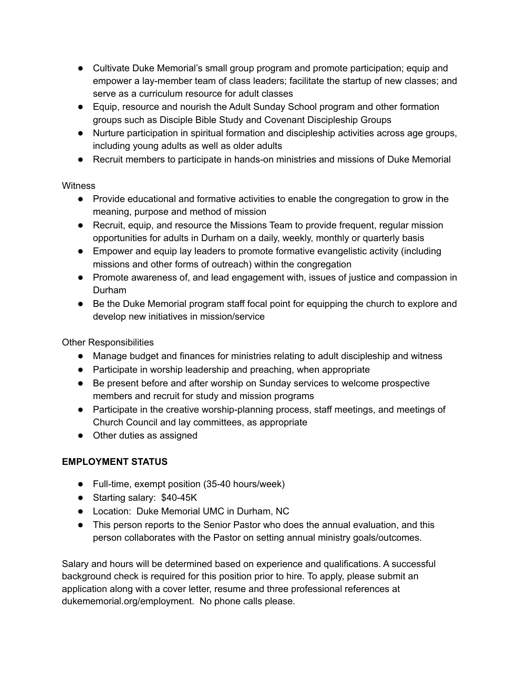- Cultivate Duke Memorial's small group program and promote participation; equip and empower a lay-member team of class leaders; facilitate the startup of new classes; and serve as a curriculum resource for adult classes
- Equip, resource and nourish the Adult Sunday School program and other formation groups such as Disciple Bible Study and Covenant Discipleship Groups
- Nurture participation in spiritual formation and discipleship activities across age groups, including young adults as well as older adults
- Recruit members to participate in hands-on ministries and missions of Duke Memorial

## **Witness**

- Provide educational and formative activities to enable the congregation to grow in the meaning, purpose and method of mission
- Recruit, equip, and resource the Missions Team to provide frequent, regular mission opportunities for adults in Durham on a daily, weekly, monthly or quarterly basis
- Empower and equip lay leaders to promote formative evangelistic activity (including missions and other forms of outreach) within the congregation
- Promote awareness of, and lead engagement with, issues of justice and compassion in Durham
- Be the Duke Memorial program staff focal point for equipping the church to explore and develop new initiatives in mission/service

Other Responsibilities

- Manage budget and finances for ministries relating to adult discipleship and witness
- Participate in worship leadership and preaching, when appropriate
- Be present before and after worship on Sunday services to welcome prospective members and recruit for study and mission programs
- Participate in the creative worship-planning process, staff meetings, and meetings of Church Council and lay committees, as appropriate
- Other duties as assigned

## **EMPLOYMENT STATUS**

- Full-time, exempt position (35-40 hours/week)
- Starting salary: \$40-45K
- Location: Duke Memorial UMC in Durham, NC
- This person reports to the Senior Pastor who does the annual evaluation, and this person collaborates with the Pastor on setting annual ministry goals/outcomes.

Salary and hours will be determined based on experience and qualifications. A successful background check is required for this position prior to hire. To apply, please submit an application along with a cover letter, resume and three professional references at dukememorial.org/employment. No phone calls please.